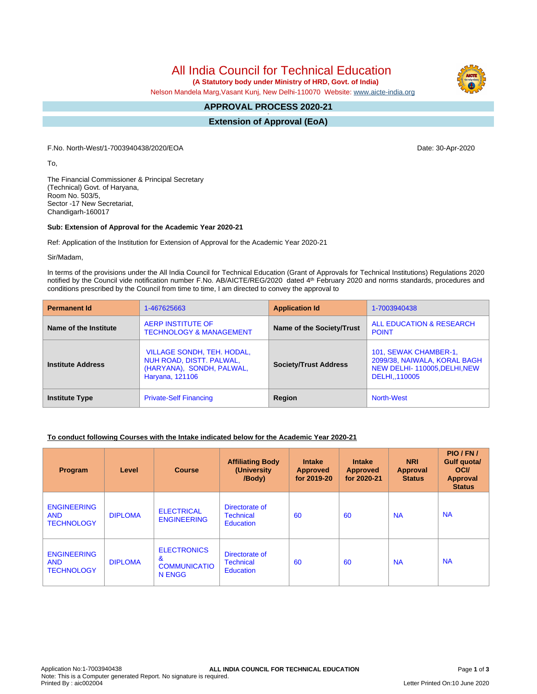All India Council for Technical Education

 **(A Statutory body under Ministry of HRD, Govt. of India)**

Nelson Mandela Marg,Vasant Kunj, New Delhi-110070 Website: [www.aicte-india.org](http://www.aicte-india.org)

#### **APPROVAL PROCESS 2020-21 -**

**Extension of Approval (EoA)**

F.No. North-West/1-7003940438/2020/EOA Date: 30-Apr-2020

To,

The Financial Commissioner & Principal Secretary (Technical) Govt. of Haryana, Room No. 503/5, Sector -17 New Secretariat, Chandigarh-160017

### **Sub: Extension of Approval for the Academic Year 2020-21**

Ref: Application of the Institution for Extension of Approval for the Academic Year 2020-21

Sir/Madam,

In terms of the provisions under the All India Council for Technical Education (Grant of Approvals for Technical Institutions) Regulations 2020 notified by the Council vide notification number F.No. AB/AICTE/REG/2020 dated 4<sup>th</sup> February 2020 and norms standards, procedures and conditions prescribed by the Council from time to time, I am directed to convey the approval to

| <b>Permanent Id</b>      | 1-467625663                                                                                                   | <b>Application Id</b>        | 1-7003940438                                                                                           |  |
|--------------------------|---------------------------------------------------------------------------------------------------------------|------------------------------|--------------------------------------------------------------------------------------------------------|--|
| Name of the Institute    | <b>AERP INSTITUTE OF</b><br><b>TECHNOLOGY &amp; MANAGEMENT</b>                                                | Name of the Society/Trust    | ALL EDUCATION & RESEARCH<br><b>POINT</b>                                                               |  |
| <b>Institute Address</b> | <b>VILLAGE SONDH, TEH. HODAL,</b><br>NUH ROAD, DISTT. PALWAL,<br>(HARYANA), SONDH, PALWAL,<br>Haryana, 121106 | <b>Society/Trust Address</b> | 101, SEWAK CHAMBER-1,<br>2099/38, NAIWALA, KORAL BAGH<br>NEW DELHI-110005, DELHI, NEW<br>DELHI,,110005 |  |
| <b>Institute Type</b>    | <b>Private-Self Financing</b>                                                                                 | Region                       | North-West                                                                                             |  |

### **To conduct following Courses with the Intake indicated below for the Academic Year 2020-21**

| Program                                               | Level          | <b>Course</b>                                                   | <b>Affiliating Body</b><br>(University<br>/Body)       | <b>Intake</b><br><b>Approved</b><br>for 2019-20 | <b>Intake</b><br><b>Approved</b><br>for 2020-21 | <b>NRI</b><br>Approval<br><b>Status</b> | PIO/FN/<br>Gulf quota/<br><b>OCI</b><br><b>Approval</b><br><b>Status</b> |
|-------------------------------------------------------|----------------|-----------------------------------------------------------------|--------------------------------------------------------|-------------------------------------------------|-------------------------------------------------|-----------------------------------------|--------------------------------------------------------------------------|
| <b>ENGINEERING</b><br><b>AND</b><br><b>TECHNOLOGY</b> | <b>DIPLOMA</b> | <b>ELECTRICAL</b><br><b>ENGINEERING</b>                         | Directorate of<br><b>Technical</b><br><b>Education</b> | 60                                              | 60                                              | <b>NA</b>                               | <b>NA</b>                                                                |
| <b>ENGINEERING</b><br><b>AND</b><br><b>TECHNOLOGY</b> | <b>DIPLOMA</b> | <b>ELECTRONICS</b><br>&<br><b>COMMUNICATIO</b><br><b>N ENGG</b> | Directorate of<br><b>Technical</b><br><b>Education</b> | 60                                              | 60                                              | <b>NA</b>                               | <b>NA</b>                                                                |





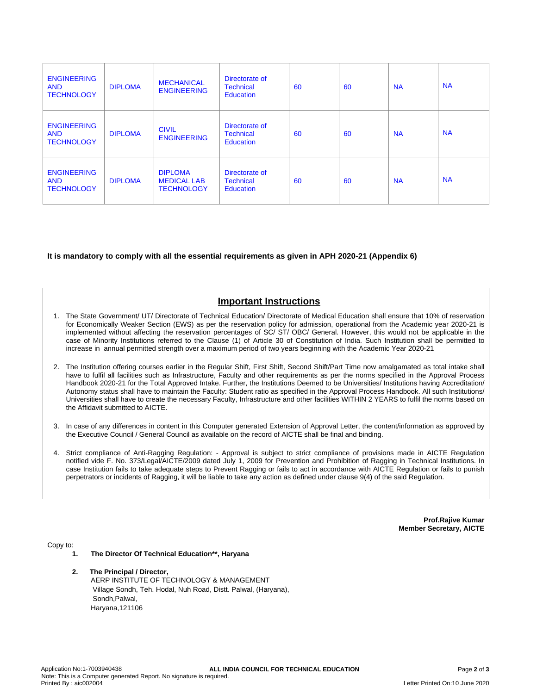| <b>ENGINEERING</b><br><b>AND</b><br><b>TECHNOLOGY</b> | <b>DIPLOMA</b> | <b>MECHANICAL</b><br><b>ENGINEERING</b>                   | Directorate of<br><b>Technical</b><br><b>Education</b> | 60 | 60 | <b>NA</b> | <b>NA</b> |
|-------------------------------------------------------|----------------|-----------------------------------------------------------|--------------------------------------------------------|----|----|-----------|-----------|
| <b>ENGINEERING</b><br><b>AND</b><br><b>TECHNOLOGY</b> | <b>DIPLOMA</b> | <b>CIVIL</b><br><b>ENGINEERING</b>                        | Directorate of<br><b>Technical</b><br>Education        | 60 | 60 | <b>NA</b> | <b>NA</b> |
| <b>ENGINEERING</b><br><b>AND</b><br><b>TECHNOLOGY</b> | <b>DIPLOMA</b> | <b>DIPLOMA</b><br><b>MEDICAL LAB</b><br><b>TECHNOLOGY</b> | Directorate of<br><b>Technical</b><br>Education        | 60 | 60 | <b>NA</b> | <b>NA</b> |

### **It is mandatory to comply with all the essential requirements as given in APH 2020-21 (Appendix 6)**

# **Important Instructions**

- 1. The State Government/ UT/ Directorate of Technical Education/ Directorate of Medical Education shall ensure that 10% of reservation for Economically Weaker Section (EWS) as per the reservation policy for admission, operational from the Academic year 2020-21 is implemented without affecting the reservation percentages of SC/ ST/ OBC/ General. However, this would not be applicable in the case of Minority Institutions referred to the Clause (1) of Article 30 of Constitution of India. Such Institution shall be permitted to increase in annual permitted strength over a maximum period of two years beginning with the Academic Year 2020-21
- 2. The Institution offering courses earlier in the Regular Shift, First Shift, Second Shift/Part Time now amalgamated as total intake shall have to fulfil all facilities such as Infrastructure, Faculty and other requirements as per the norms specified in the Approval Process Handbook 2020-21 for the Total Approved Intake. Further, the Institutions Deemed to be Universities/ Institutions having Accreditation/ Autonomy status shall have to maintain the Faculty: Student ratio as specified in the Approval Process Handbook. All such Institutions/ Universities shall have to create the necessary Faculty, Infrastructure and other facilities WITHIN 2 YEARS to fulfil the norms based on the Affidavit submitted to AICTE.
- 3. In case of any differences in content in this Computer generated Extension of Approval Letter, the content/information as approved by the Executive Council / General Council as available on the record of AICTE shall be final and binding.
- 4. Strict compliance of Anti-Ragging Regulation: Approval is subject to strict compliance of provisions made in AICTE Regulation notified vide F. No. 373/Legal/AICTE/2009 dated July 1, 2009 for Prevention and Prohibition of Ragging in Technical Institutions. In case Institution fails to take adequate steps to Prevent Ragging or fails to act in accordance with AICTE Regulation or fails to punish perpetrators or incidents of Ragging, it will be liable to take any action as defined under clause 9(4) of the said Regulation.

**Prof.Rajive Kumar Member Secretary, AICTE**

Copy to:

- **1. The Director Of Technical Education\*\*, Haryana**
- **2. The Principal / Director,** AERP INSTITUTE OF TECHNOLOGY & MANAGEMENT Village Sondh, Teh. Hodal, Nuh Road, Distt. Palwal, (Haryana), Sondh,Palwal, Haryana,121106